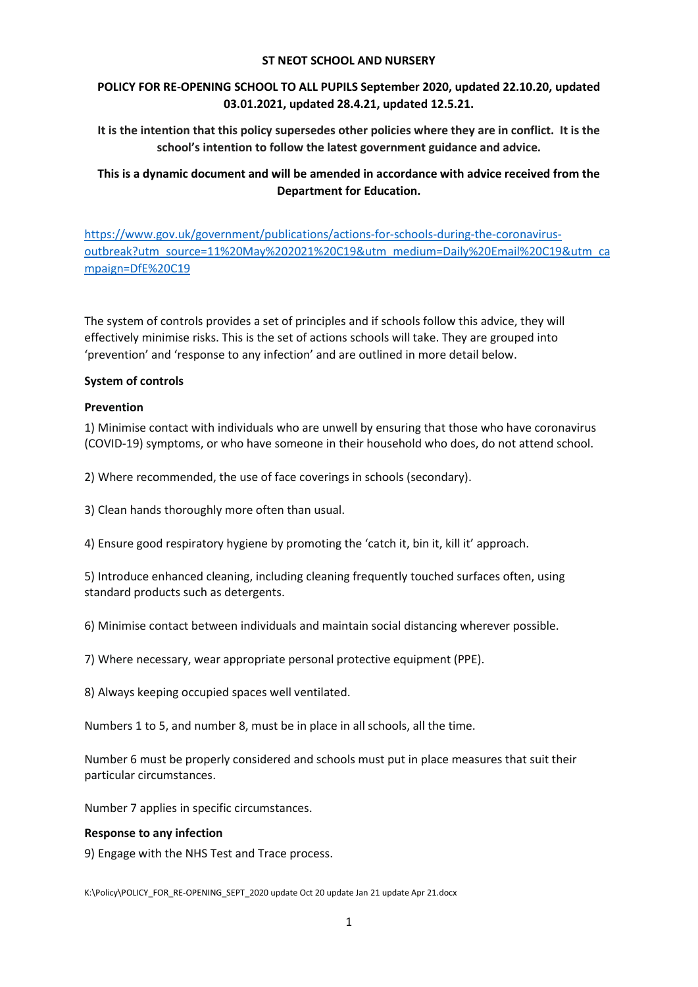#### ST NEOT SCHOOL AND NURSERY

# POLICY FOR RE-OPENING SCHOOL TO ALL PUPILS September 2020, updated 22.10.20, updated 03.01.2021, updated 28.4.21, updated 12.5.21.

It is the intention that this policy supersedes other policies where they are in conflict. It is the school's intention to follow the latest government guidance and advice.

# This is a dynamic document and will be amended in accordance with advice received from the Department for Education.

https://www.gov.uk/government/publications/actions-for-schools-during-the-coronavirusoutbreak?utm\_source=11%20May%202021%20C19&utm\_medium=Daily%20Email%20C19&utm\_ca mpaign=DfE%20C19

The system of controls provides a set of principles and if schools follow this advice, they will effectively minimise risks. This is the set of actions schools will take. They are grouped into 'prevention' and 'response to any infection' and are outlined in more detail below.

#### System of controls

#### Prevention

1) Minimise contact with individuals who are unwell by ensuring that those who have coronavirus (COVID-19) symptoms, or who have someone in their household who does, do not attend school.

2) Where recommended, the use of face coverings in schools (secondary).

3) Clean hands thoroughly more often than usual.

4) Ensure good respiratory hygiene by promoting the 'catch it, bin it, kill it' approach.

5) Introduce enhanced cleaning, including cleaning frequently touched surfaces often, using standard products such as detergents.

6) Minimise contact between individuals and maintain social distancing wherever possible.

7) Where necessary, wear appropriate personal protective equipment (PPE).

8) Always keeping occupied spaces well ventilated.

Numbers 1 to 5, and number 8, must be in place in all schools, all the time.

Number 6 must be properly considered and schools must put in place measures that suit their particular circumstances.

Number 7 applies in specific circumstances.

#### Response to any infection

9) Engage with the NHS Test and Trace process.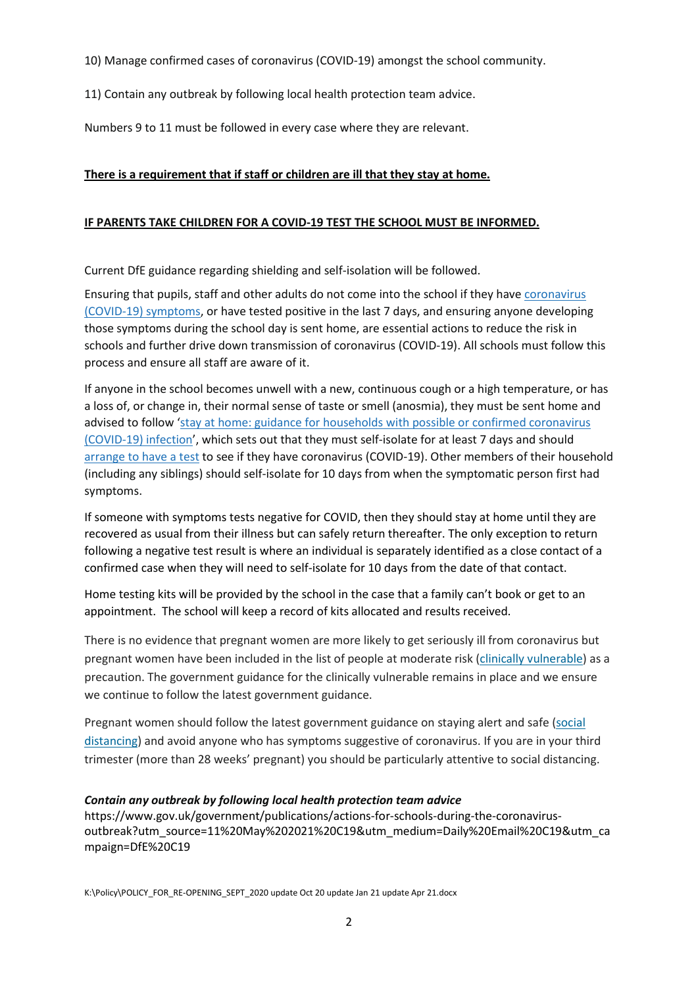10) Manage confirmed cases of coronavirus (COVID-19) amongst the school community.

11) Contain any outbreak by following local health protection team advice.

Numbers 9 to 11 must be followed in every case where they are relevant.

# There is a requirement that if staff or children are ill that they stay at home.

## IF PARENTS TAKE CHILDREN FOR A COVID-19 TEST THE SCHOOL MUST BE INFORMED.

Current DfE guidance regarding shielding and self-isolation will be followed.

Ensuring that pupils, staff and other adults do not come into the school if they have coronavirus (COVID-19) symptoms, or have tested positive in the last 7 days, and ensuring anyone developing those symptoms during the school day is sent home, are essential actions to reduce the risk in schools and further drive down transmission of coronavirus (COVID-19). All schools must follow this process and ensure all staff are aware of it.

If anyone in the school becomes unwell with a new, continuous cough or a high temperature, or has a loss of, or change in, their normal sense of taste or smell (anosmia), they must be sent home and advised to follow 'stay at home: guidance for households with possible or confirmed coronavirus (COVID-19) infection', which sets out that they must self-isolate for at least 7 days and should arrange to have a test to see if they have coronavirus (COVID-19). Other members of their household (including any siblings) should self-isolate for 10 days from when the symptomatic person first had symptoms.

If someone with symptoms tests negative for COVID, then they should stay at home until they are recovered as usual from their illness but can safely return thereafter. The only exception to return following a negative test result is where an individual is separately identified as a close contact of a confirmed case when they will need to self-isolate for 10 days from the date of that contact.

Home testing kits will be provided by the school in the case that a family can't book or get to an appointment. The school will keep a record of kits allocated and results received.

There is no evidence that pregnant women are more likely to get seriously ill from coronavirus but pregnant women have been included in the list of people at moderate risk (clinically vulnerable) as a precaution. The government guidance for the clinically vulnerable remains in place and we ensure we continue to follow the latest government guidance.

Pregnant women should follow the latest government guidance on staying alert and safe (social distancing) and avoid anyone who has symptoms suggestive of coronavirus. If you are in your third trimester (more than 28 weeks' pregnant) you should be particularly attentive to social distancing.

# Contain any outbreak by following local health protection team advice

https://www.gov.uk/government/publications/actions-for-schools-during-the-coronavirusoutbreak?utm\_source=11%20May%202021%20C19&utm\_medium=Daily%20Email%20C19&utm\_ca mpaign=DfE%20C19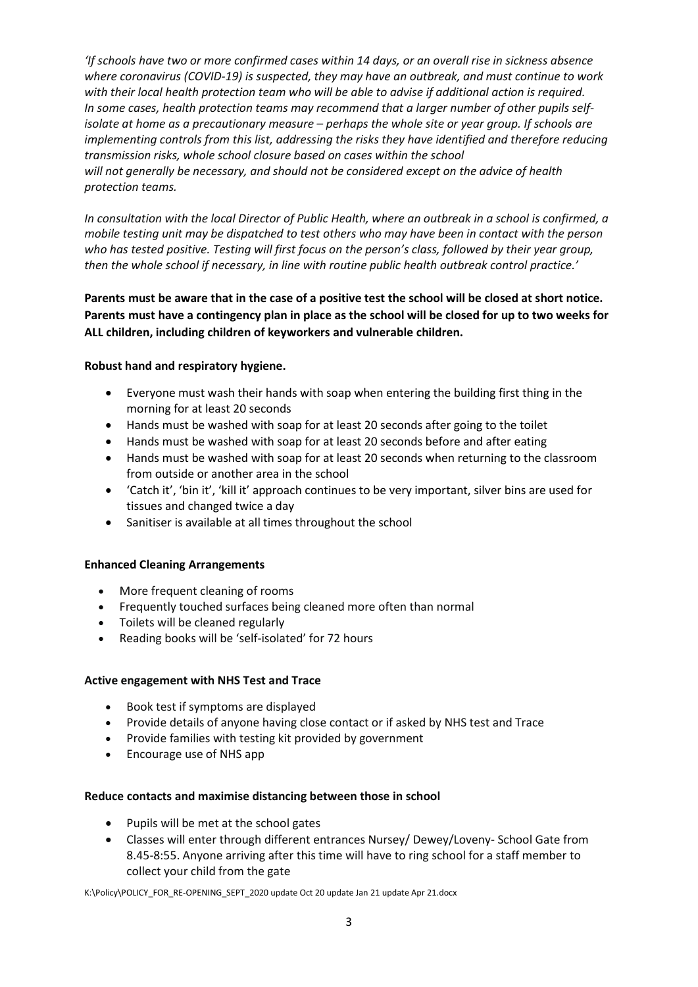'If schools have two or more confirmed cases within 14 days, or an overall rise in sickness absence where coronavirus (COVID-19) is suspected, they may have an outbreak, and must continue to work with their local health protection team who will be able to advise if additional action is required. In some cases, health protection teams may recommend that a larger number of other pupils selfisolate at home as a precautionary measure – perhaps the whole site or year group. If schools are implementing controls from this list, addressing the risks they have identified and therefore reducing transmission risks, whole school closure based on cases within the school will not generally be necessary, and should not be considered except on the advice of health protection teams.

In consultation with the local Director of Public Health, where an outbreak in a school is confirmed, a mobile testing unit may be dispatched to test others who may have been in contact with the person who has tested positive. Testing will first focus on the person's class, followed by their year group, then the whole school if necessary, in line with routine public health outbreak control practice.'

Parents must be aware that in the case of a positive test the school will be closed at short notice. Parents must have a contingency plan in place as the school will be closed for up to two weeks for ALL children, including children of keyworkers and vulnerable children.

#### Robust hand and respiratory hygiene.

- Everyone must wash their hands with soap when entering the building first thing in the morning for at least 20 seconds
- Hands must be washed with soap for at least 20 seconds after going to the toilet
- Hands must be washed with soap for at least 20 seconds before and after eating
- Hands must be washed with soap for at least 20 seconds when returning to the classroom from outside or another area in the school
- 'Catch it', 'bin it', 'kill it' approach continues to be very important, silver bins are used for tissues and changed twice a day
- Sanitiser is available at all times throughout the school

#### Enhanced Cleaning Arrangements

- More frequent cleaning of rooms
- Frequently touched surfaces being cleaned more often than normal
- Toilets will be cleaned regularly
- Reading books will be 'self-isolated' for 72 hours

#### Active engagement with NHS Test and Trace

- Book test if symptoms are displayed
- Provide details of anyone having close contact or if asked by NHS test and Trace
- Provide families with testing kit provided by government
- Encourage use of NHS app

#### Reduce contacts and maximise distancing between those in school

- Pupils will be met at the school gates
- Classes will enter through different entrances Nursey/ Dewey/Loveny- School Gate from 8.45-8:55. Anyone arriving after this time will have to ring school for a staff member to collect your child from the gate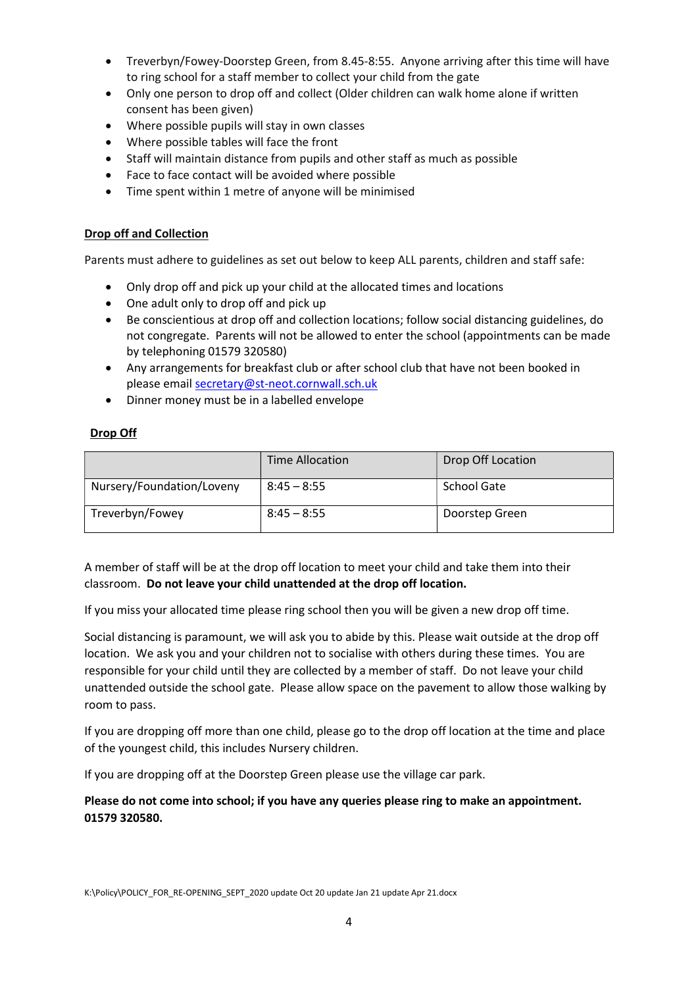- Treverbyn/Fowey-Doorstep Green, from 8.45-8:55. Anyone arriving after this time will have to ring school for a staff member to collect your child from the gate
- Only one person to drop off and collect (Older children can walk home alone if written consent has been given)
- Where possible pupils will stay in own classes
- Where possible tables will face the front
- Staff will maintain distance from pupils and other staff as much as possible
- Face to face contact will be avoided where possible
- Time spent within 1 metre of anyone will be minimised

## Drop off and Collection

Parents must adhere to guidelines as set out below to keep ALL parents, children and staff safe:

- Only drop off and pick up your child at the allocated times and locations
- One adult only to drop off and pick up
- Be conscientious at drop off and collection locations; follow social distancing guidelines, do not congregate. Parents will not be allowed to enter the school (appointments can be made by telephoning 01579 320580)
- Any arrangements for breakfast club or after school club that have not been booked in please email secretary@st-neot.cornwall.sch.uk
- Dinner money must be in a labelled envelope

# Drop Off

|                           | Time Allocation | Drop Off Location  |
|---------------------------|-----------------|--------------------|
| Nursery/Foundation/Loveny | $8:45 - 8:55$   | <b>School Gate</b> |
| Treverbyn/Fowey           | $8:45 - 8:55$   | Doorstep Green     |

A member of staff will be at the drop off location to meet your child and take them into their classroom. Do not leave your child unattended at the drop off location.

If you miss your allocated time please ring school then you will be given a new drop off time.

Social distancing is paramount, we will ask you to abide by this. Please wait outside at the drop off location. We ask you and your children not to socialise with others during these times. You are responsible for your child until they are collected by a member of staff. Do not leave your child unattended outside the school gate. Please allow space on the pavement to allow those walking by room to pass.

If you are dropping off more than one child, please go to the drop off location at the time and place of the youngest child, this includes Nursery children.

If you are dropping off at the Doorstep Green please use the village car park.

Please do not come into school; if you have any queries please ring to make an appointment. 01579 320580.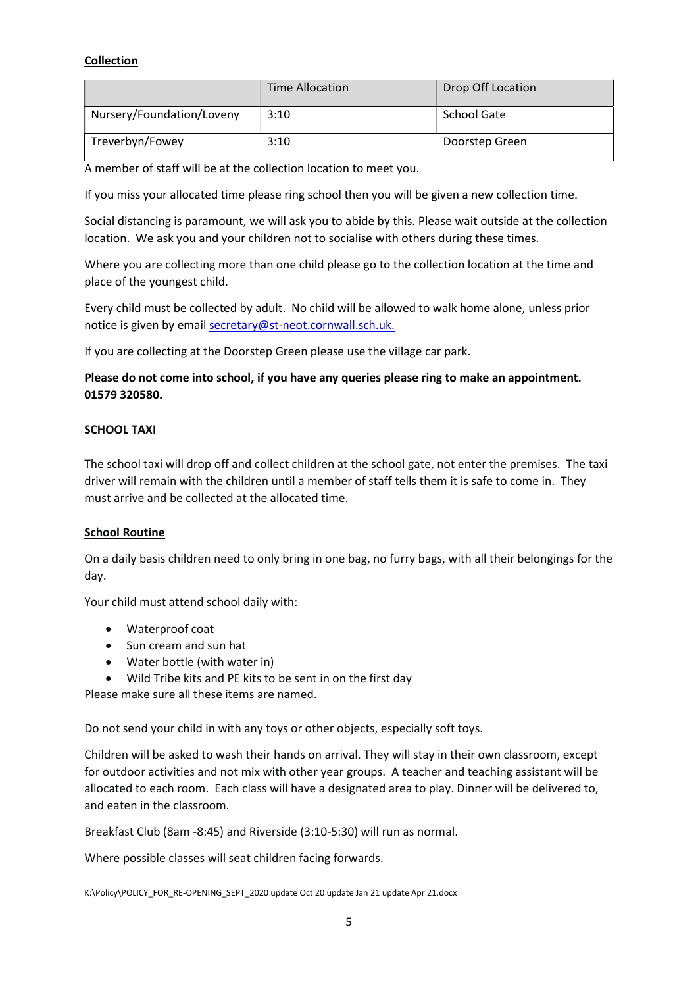# Collection

|                           | <b>Time Allocation</b> | Drop Off Location |
|---------------------------|------------------------|-------------------|
| Nursery/Foundation/Loveny | 3:10                   | School Gate       |
| Treverbyn/Fowey           | 3:10                   | Doorstep Green    |

A member of staff will be at the collection location to meet you.

If you miss your allocated time please ring school then you will be given a new collection time.

Social distancing is paramount, we will ask you to abide by this. Please wait outside at the collection location. We ask you and your children not to socialise with others during these times.

Where you are collecting more than one child please go to the collection location at the time and place of the youngest child.

Every child must be collected by adult. No child will be allowed to walk home alone, unless prior notice is given by email secretary@st-neot.cornwall.sch.uk.

If you are collecting at the Doorstep Green please use the village car park.

# Please do not come into school, if you have any queries please ring to make an appointment. 01579 320580.

## SCHOOL TAXI

The school taxi will drop off and collect children at the school gate, not enter the premises. The taxi driver will remain with the children until a member of staff tells them it is safe to come in. They must arrive and be collected at the allocated time.

#### School Routine

On a daily basis children need to only bring in one bag, no furry bags, with all their belongings for the day.

Your child must attend school daily with:

- Waterproof coat
- Sun cream and sun hat
- Water bottle (with water in)
- Wild Tribe kits and PE kits to be sent in on the first day

Please make sure all these items are named.

Do not send your child in with any toys or other objects, especially soft toys.

Children will be asked to wash their hands on arrival. They will stay in their own classroom, except for outdoor activities and not mix with other year groups. A teacher and teaching assistant will be allocated to each room. Each class will have a designated area to play. Dinner will be delivered to, and eaten in the classroom.

Breakfast Club (8am -8:45) and Riverside (3:10-5:30) will run as normal.

Where possible classes will seat children facing forwards.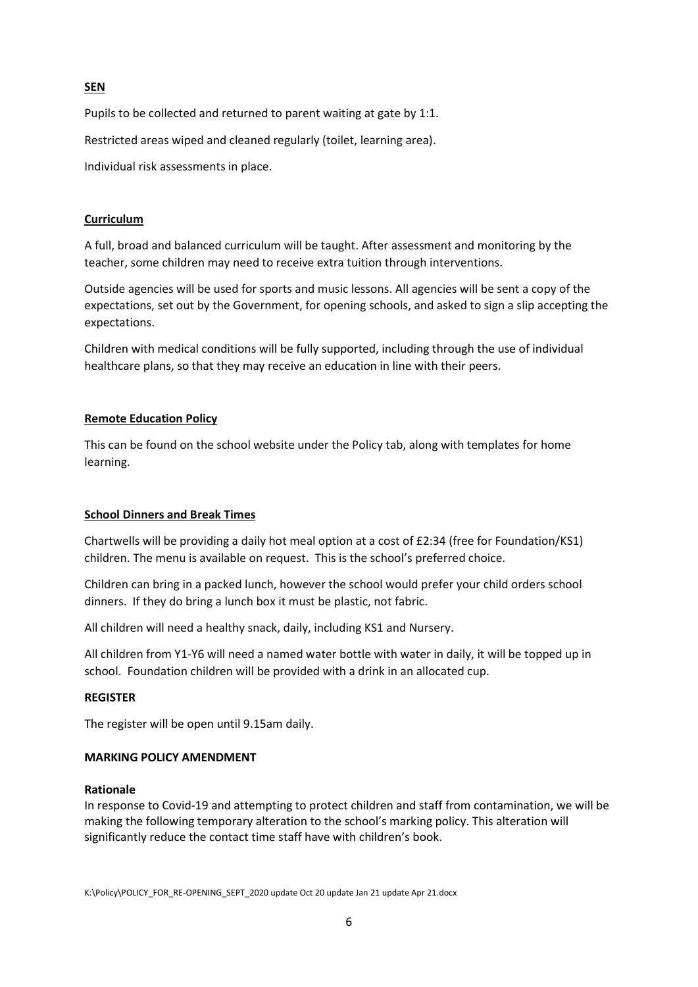### SEN

Pupils to be collected and returned to parent waiting at gate by 1:1.

Restricted areas wiped and cleaned regularly (toilet, learning area).

Individual risk assessments in place.

# Curriculum

A full, broad and balanced curriculum will be taught. After assessment and monitoring by the teacher, some children may need to receive extra tuition through interventions.

Outside agencies will be used for sports and music lessons. All agencies will be sent a copy of the expectations, set out by the Government, for opening schools, and asked to sign a slip accepting the expectations.

Children with medical conditions will be fully supported, including through the use of individual healthcare plans, so that they may receive an education in line with their peers.

## Remote Education Policy

This can be found on the school website under the Policy tab, along with templates for home learning.

#### School Dinners and Break Times

Chartwells will be providing a daily hot meal option at a cost of £2:34 (free for Foundation/KS1) children. The menu is available on request. This is the school's preferred choice.

Children can bring in a packed lunch, however the school would prefer your child orders school dinners. If they do bring a lunch box it must be plastic, not fabric.

All children will need a healthy snack, daily, including KS1 and Nursery.

All children from Y1-Y6 will need a named water bottle with water in daily, it will be topped up in school. Foundation children will be provided with a drink in an allocated cup.

### REGISTER

The register will be open until 9.15am daily.

#### MARKING POLICY AMENDMENT

#### Rationale

In response to Covid-19 and attempting to protect children and staff from contamination, we will be making the following temporary alteration to the school's marking policy. This alteration will significantly reduce the contact time staff have with children's book.